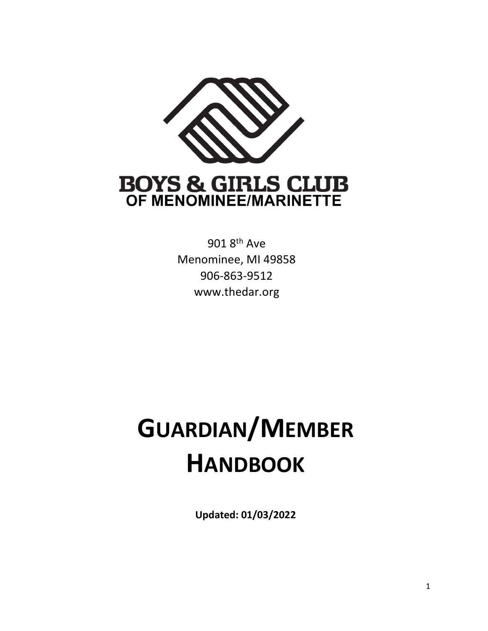

901 8th Ave Menominee, MI 49858 906-863-9512 www.thedar.org

# **GUARDIAN/MEMBER HANDBOOK**

**Updated: 01/03/2022**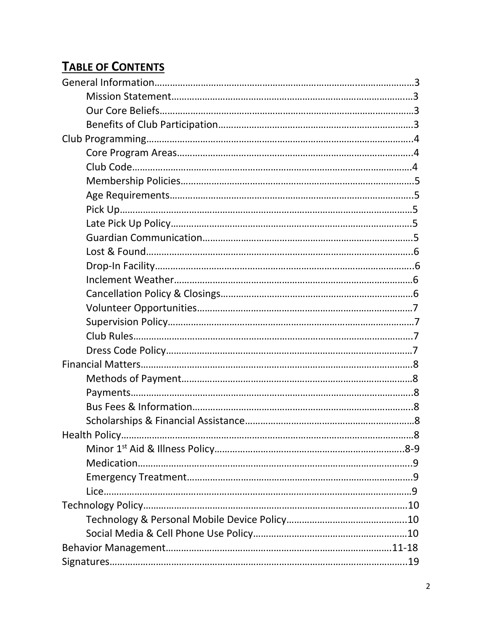# **TABLE OF CONTENTS**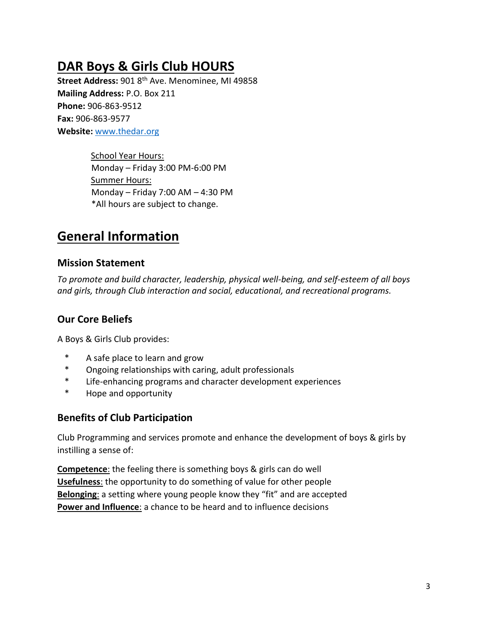# **DAR Boys & Girls Club HOURS**

Street Address: 901 8<sup>th</sup> Ave. Menominee, MI 49858 **Mailing Address:** P.O. Box 211 **Phone:** 906-863-9512 **Fax:** 906-863-9577 **Website:** [www.thedar.org](http://www.thedar.org/)

> School Year Hours: Monday – Friday 3:00 PM-6:00 PM Summer Hours: Monday – Friday 7:00 AM – 4:30 PM \*All hours are subject to change.

# **General Information**

#### **Mission Statement**

*To promote and build character, leadership, physical well-being, and self-esteem of all boys and girls, through Club interaction and social, educational, and recreational programs.*

## **Our Core Beliefs**

A Boys & Girls Club provides:

- \* A safe place to learn and grow
- \* Ongoing relationships with caring, adult professionals
- \* Life-enhancing programs and character development experiences
- \* Hope and opportunity

### **Benefits of Club Participation**

Club Programming and services promote and enhance the development of boys & girls by instilling a sense of:

**Competence**: the feeling there is something boys & girls can do well **Usefulness**: the opportunity to do something of value for other people **Belonging**: a setting where young people know they "fit" and are accepted **Power and Influence:** a chance to be heard and to influence decisions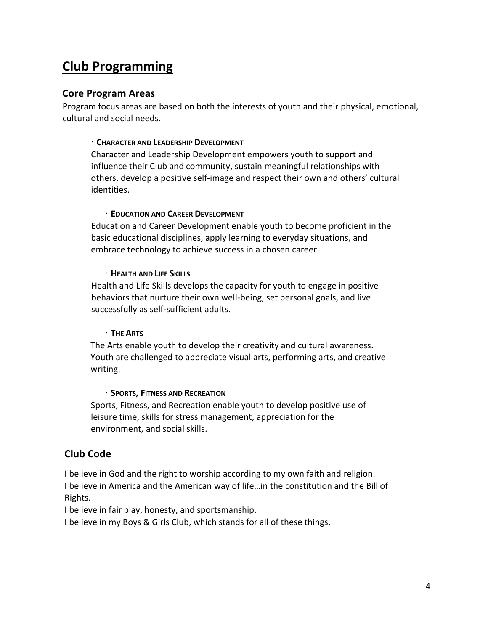# **Club Programming**

#### **Core Program Areas**

Program focus areas are based on both the interests of youth and their physical, emotional, cultural and social needs.

#### ∙ **CHARACTER AND LEADERSHIP DEVELOPMENT**

Character and Leadership Development empowers youth to support and influence their Club and community, sustain meaningful relationships with others, develop a positive self-image and respect their own and others' cultural identities.

#### ∙ **EDUCATION AND CAREER DEVELOPMENT**

Education and Career Development enable youth to become proficient in the basic educational disciplines, apply learning to everyday situations, and embrace technology to achieve success in a chosen career.

#### ∙ **HEALTH AND LIFE SKILLS**

Health and Life Skills develops the capacity for youth to engage in positive behaviors that nurture their own well-being, set personal goals, and live successfully as self-sufficient adults.

#### ∙ **THE ARTS**

The Arts enable youth to develop their creativity and cultural awareness. Youth are challenged to appreciate visual arts, performing arts, and creative writing.

#### ∙ **SPORTS, FITNESS AND RECREATION**

Sports, Fitness, and Recreation enable youth to develop positive use of leisure time, skills for stress management, appreciation for the environment, and social skills.

### **Club Code**

I believe in God and the right to worship according to my own faith and religion. I believe in America and the American way of life…in the constitution and the Bill of Rights.

I believe in fair play, honesty, and sportsmanship.

I believe in my Boys & Girls Club, which stands for all of these things.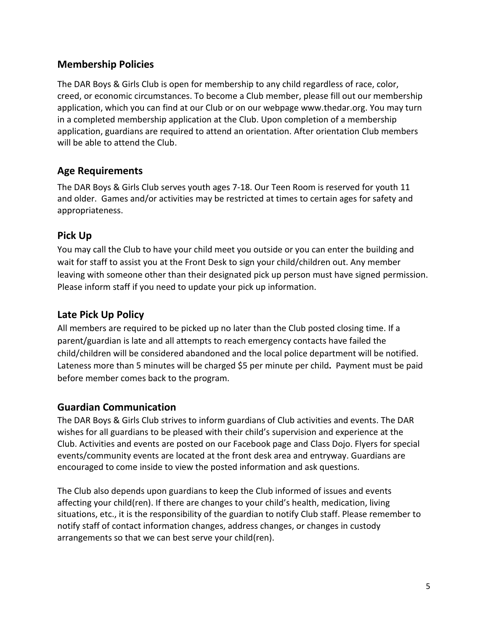### **Membership Policies**

The DAR Boys & Girls Club is open for membership to any child regardless of race, color, creed, or economic circumstances. To become a Club member, please fill out our membership application, which you can find at our Club or on our webpage www.thedar.org. You may turn in a completed membership application at the Club. Upon completion of a membership application, guardians are required to attend an orientation. After orientation Club members will be able to attend the Club.

### **Age Requirements**

The DAR Boys & Girls Club serves youth ages 7-18. Our Teen Room is reserved for youth 11 and older. Games and/or activities may be restricted at times to certain ages for safety and appropriateness.

### **Pick Up**

You may call the Club to have your child meet you outside or you can enter the building and wait for staff to assist you at the Front Desk to sign your child/children out. Any member leaving with someone other than their designated pick up person must have signed permission. Please inform staff if you need to update your pick up information.

#### **Late Pick Up Policy**

All members are required to be picked up no later than the Club posted closing time. If a parent/guardian is late and all attempts to reach emergency contacts have failed the child/children will be considered abandoned and the local police department will be notified. Lateness more than 5 minutes will be charged \$5 per minute per child**.** Payment must be paid before member comes back to the program.

### **Guardian Communication**

The DAR Boys & Girls Club strives to inform guardians of Club activities and events. The DAR wishes for all guardians to be pleased with their child's supervision and experience at the Club. Activities and events are posted on our Facebook page and Class Dojo. Flyers for special events/community events are located at the front desk area and entryway. Guardians are encouraged to come inside to view the posted information and ask questions.

The Club also depends upon guardians to keep the Club informed of issues and events affecting your child(ren). If there are changes to your child's health, medication, living situations, etc., it is the responsibility of the guardian to notify Club staff. Please remember to notify staff of contact information changes, address changes, or changes in custody arrangements so that we can best serve your child(ren).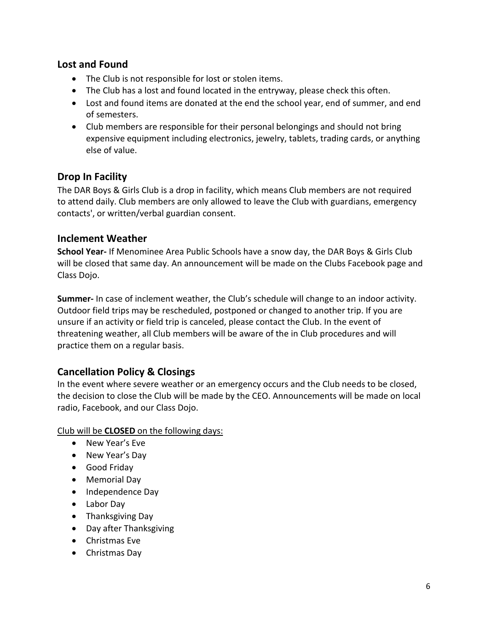#### **Lost and Found**

- The Club is not responsible for lost or stolen items.
- The Club has a lost and found located in the entryway, please check this often.
- Lost and found items are donated at the end the school year, end of summer, and end of semesters.
- Club members are responsible for their personal belongings and should not bring expensive equipment including electronics, jewelry, tablets, trading cards, or anything else of value.

### **Drop In Facility**

The DAR Boys & Girls Club is a drop in facility, which means Club members are not required to attend daily. Club members are only allowed to leave the Club with guardians, emergency contacts', or written/verbal guardian consent.

#### **Inclement Weather**

**School Year-** If Menominee Area Public Schools have a snow day, the DAR Boys & Girls Club will be closed that same day. An announcement will be made on the Clubs Facebook page and Class Dojo.

**Summer-** In case of inclement weather, the Club's schedule will change to an indoor activity. Outdoor field trips may be rescheduled, postponed or changed to another trip. If you are unsure if an activity or field trip is canceled, please contact the Club. In the event of threatening weather, all Club members will be aware of the in Club procedures and will practice them on a regular basis.

## **Cancellation Policy & Closings**

In the event where severe weather or an emergency occurs and the Club needs to be closed, the decision to close the Club will be made by the CEO. Announcements will be made on local radio, Facebook, and our Class Dojo.

Club will be **CLOSED** on the following days:

- New Year's Eve
- New Year's Day
- Good Friday
- Memorial Day
- Independence Day
- Labor Day
- Thanksgiving Day
- Day after Thanksgiving
- Christmas Eve
- Christmas Day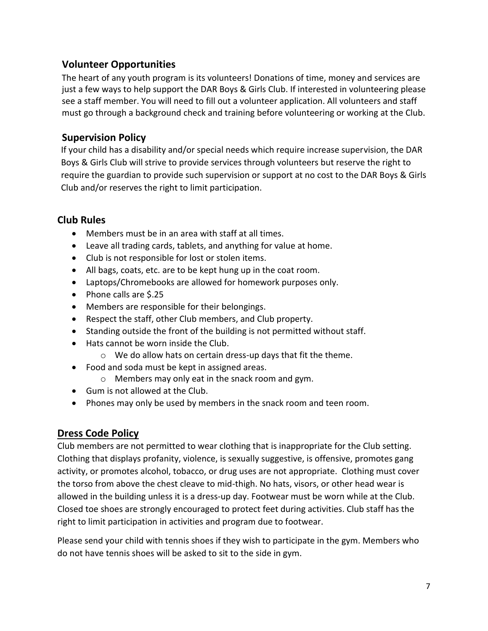## **Volunteer Opportunities**

The heart of any youth program is its volunteers! Donations of time, money and services are just a few ways to help support the DAR Boys & Girls Club. If interested in volunteering please see a staff member. You will need to fill out a volunteer application. All volunteers and staff must go through a background check and training before volunteering or working at the Club.

### **Supervision Policy**

If your child has a disability and/or special needs which require increase supervision, the DAR Boys & Girls Club will strive to provide services through volunteers but reserve the right to require the guardian to provide such supervision or support at no cost to the DAR Boys & Girls Club and/or reserves the right to limit participation.

## **Club Rules**

- Members must be in an area with staff at all times.
- Leave all trading cards, tablets, and anything for value at home.
- Club is not responsible for lost or stolen items.
- All bags, coats, etc. are to be kept hung up in the coat room.
- Laptops/Chromebooks are allowed for homework purposes only.
- Phone calls are \$.25
- Members are responsible for their belongings.
- Respect the staff, other Club members, and Club property.
- Standing outside the front of the building is not permitted without staff.
- Hats cannot be worn inside the Club.
	- o We do allow hats on certain dress-up days that fit the theme.
- Food and soda must be kept in assigned areas.
	- o Members may only eat in the snack room and gym.
- Gum is not allowed at the Club.
- Phones may only be used by members in the snack room and teen room.

### **Dress Code Policy**

Club members are not permitted to wear clothing that is inappropriate for the Club setting. Clothing that displays profanity, violence, is sexually suggestive, is offensive, promotes gang activity, or promotes alcohol, tobacco, or drug uses are not appropriate. Clothing must cover the torso from above the chest cleave to mid-thigh. No hats, visors, or other head wear is allowed in the building unless it is a dress-up day. Footwear must be worn while at the Club. Closed toe shoes are strongly encouraged to protect feet during activities. Club staff has the right to limit participation in activities and program due to footwear.

Please send your child with tennis shoes if they wish to participate in the gym. Members who do not have tennis shoes will be asked to sit to the side in gym.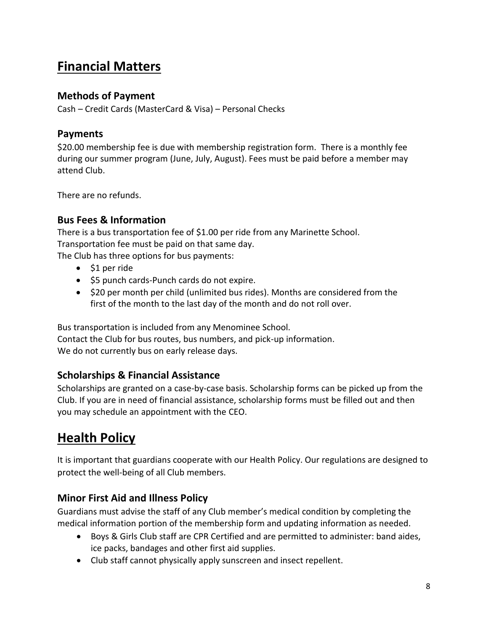# **Financial Matters**

#### **Methods of Payment**

Cash – Credit Cards (MasterCard & Visa) – Personal Checks

#### **Payments**

\$20.00 membership fee is due with membership registration form. There is a monthly fee during our summer program (June, July, August). Fees must be paid before a member may attend Club.

There are no refunds.

### **Bus Fees & Information**

There is a bus transportation fee of \$1.00 per ride from any Marinette School. Transportation fee must be paid on that same day. The Club has three options for bus payments:

- \$1 per ride
- \$5 punch cards-Punch cards do not expire.
- \$20 per month per child (unlimited bus rides). Months are considered from the first of the month to the last day of the month and do not roll over.

Bus transportation is included from any Menominee School.

Contact the Club for bus routes, bus numbers, and pick-up information. We do not currently bus on early release days.

### **Scholarships & Financial Assistance**

Scholarships are granted on a case-by-case basis. Scholarship forms can be picked up from the Club. If you are in need of financial assistance, scholarship forms must be filled out and then you may schedule an appointment with the CEO.

# **Health Policy**

It is important that guardians cooperate with our Health Policy. Our regulations are designed to protect the well-being of all Club members.

### **Minor First Aid and Illness Policy**

Guardians must advise the staff of any Club member's medical condition by completing the medical information portion of the membership form and updating information as needed.

- Boys & Girls Club staff are CPR Certified and are permitted to administer: band aides, ice packs, bandages and other first aid supplies.
- Club staff cannot physically apply sunscreen and insect repellent.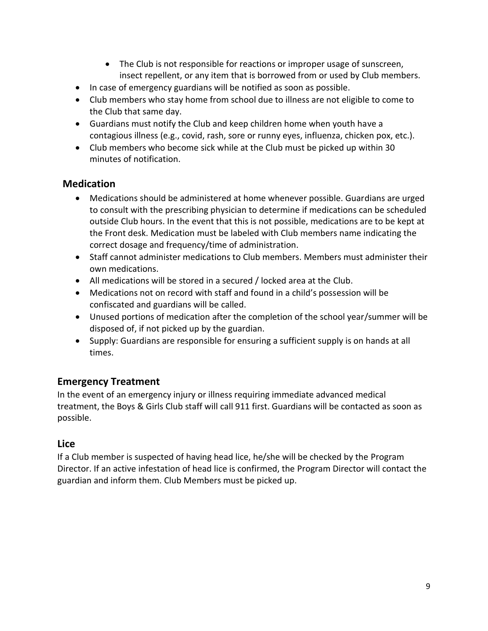- The Club is not responsible for reactions or improper usage of sunscreen, insect repellent, or any item that is borrowed from or used by Club members.
- In case of emergency guardians will be notified as soon as possible.
- Club members who stay home from school due to illness are not eligible to come to the Club that same day.
- Guardians must notify the Club and keep children home when youth have a contagious illness (e.g., covid, rash, sore or runny eyes, influenza, chicken pox, etc.).
- Club members who become sick while at the Club must be picked up within 30 minutes of notification.

## **Medication**

- Medications should be administered at home whenever possible. Guardians are urged to consult with the prescribing physician to determine if medications can be scheduled outside Club hours. In the event that this is not possible, medications are to be kept at the Front desk. Medication must be labeled with Club members name indicating the correct dosage and frequency/time of administration.
- Staff cannot administer medications to Club members. Members must administer their own medications.
- All medications will be stored in a secured / locked area at the Club.
- Medications not on record with staff and found in a child's possession will be confiscated and guardians will be called.
- Unused portions of medication after the completion of the school year/summer will be disposed of, if not picked up by the guardian.
- Supply: Guardians are responsible for ensuring a sufficient supply is on hands at all times.

## **Emergency Treatment**

In the event of an emergency injury or illness requiring immediate advanced medical treatment, the Boys & Girls Club staff will call 911 first. Guardians will be contacted as soon as possible.

## **Lice**

If a Club member is suspected of having head lice, he/she will be checked by the Program Director. If an active infestation of head lice is confirmed, the Program Director will contact the guardian and inform them. Club Members must be picked up.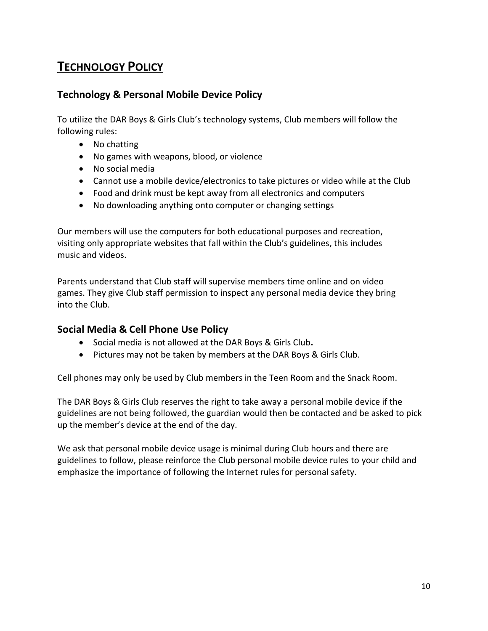## **TECHNOLOGY POLICY**

### **Technology & Personal Mobile Device Policy**

To utilize the DAR Boys & Girls Club's technology systems, Club members will follow the following rules:

- No chatting
- No games with weapons, blood, or violence
- No social media
- Cannot use a mobile device/electronics to take pictures or video while at the Club
- Food and drink must be kept away from all electronics and computers
- No downloading anything onto computer or changing settings

Our members will use the computers for both educational purposes and recreation, visiting only appropriate websites that fall within the Club's guidelines, this includes music and videos.

Parents understand that Club staff will supervise members time online and on video games. They give Club staff permission to inspect any personal media device they bring into the Club.

#### **Social Media & Cell Phone Use Policy**

- Social media is not allowed at the DAR Boys & Girls Club**.**
- Pictures may not be taken by members at the DAR Boys & Girls Club.

Cell phones may only be used by Club members in the Teen Room and the Snack Room.

The DAR Boys & Girls Club reserves the right to take away a personal mobile device if the guidelines are not being followed, the guardian would then be contacted and be asked to pick up the member's device at the end of the day.

We ask that personal mobile device usage is minimal during Club hours and there are guidelines to follow, please reinforce the Club personal mobile device rules to your child and emphasize the importance of following the Internet rules for personal safety.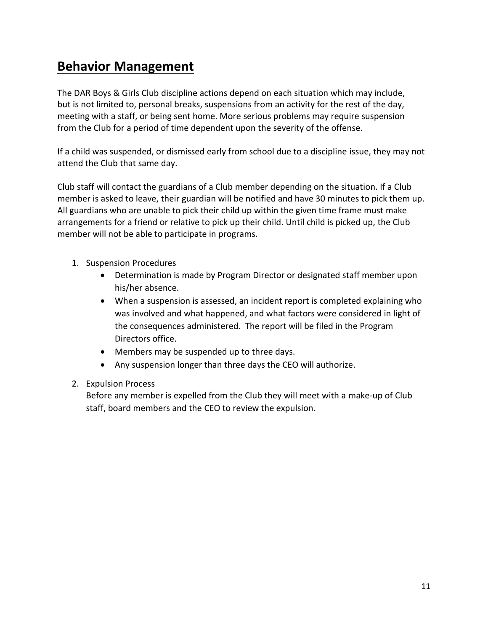# **Behavior Management**

The DAR Boys & Girls Club discipline actions depend on each situation which may include, but is not limited to, personal breaks, suspensions from an activity for the rest of the day, meeting with a staff, or being sent home. More serious problems may require suspension from the Club for a period of time dependent upon the severity of the offense.

If a child was suspended, or dismissed early from school due to a discipline issue, they may not attend the Club that same day.

Club staff will contact the guardians of a Club member depending on the situation. If a Club member is asked to leave, their guardian will be notified and have 30 minutes to pick them up. All guardians who are unable to pick their child up within the given time frame must make arrangements for a friend or relative to pick up their child. Until child is picked up, the Club member will not be able to participate in programs.

- 1. Suspension Procedures
	- Determination is made by Program Director or designated staff member upon his/her absence.
	- When a suspension is assessed, an incident report is completed explaining who was involved and what happened, and what factors were considered in light of the consequences administered. The report will be filed in the Program Directors office.
	- Members may be suspended up to three days.
	- Any suspension longer than three days the CEO will authorize.
- 2. Expulsion Process

Before any member is expelled from the Club they will meet with a make-up of Club staff, board members and the CEO to review the expulsion.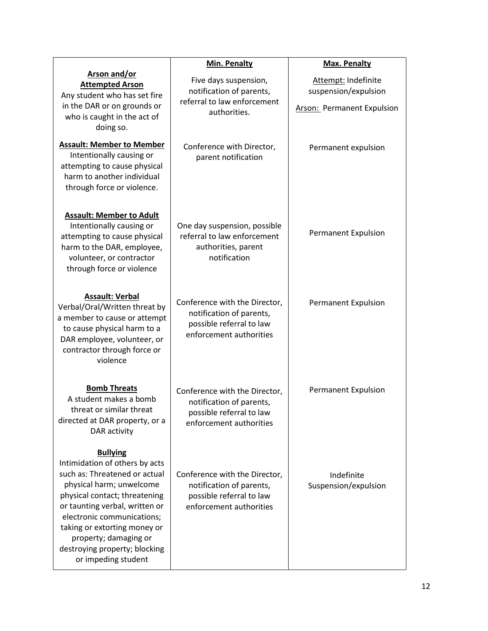|                                                                                                                                                                                                                                                                                                                                  | Min. Penalty                                                                                                     | <b>Max. Penalty</b>                                                       |
|----------------------------------------------------------------------------------------------------------------------------------------------------------------------------------------------------------------------------------------------------------------------------------------------------------------------------------|------------------------------------------------------------------------------------------------------------------|---------------------------------------------------------------------------|
| <b>Arson and/or</b><br><b>Attempted Arson</b><br>Any student who has set fire<br>in the DAR or on grounds or<br>who is caught in the act of<br>doing so.                                                                                                                                                                         | Five days suspension,<br>notification of parents,<br>referral to law enforcement<br>authorities.                 | Attempt: Indefinite<br>suspension/expulsion<br>Arson: Permanent Expulsion |
| <b>Assault: Member to Member</b><br>Intentionally causing or<br>attempting to cause physical<br>harm to another individual<br>through force or violence.                                                                                                                                                                         | Conference with Director,<br>parent notification                                                                 | Permanent expulsion                                                       |
| <b>Assault: Member to Adult</b><br>Intentionally causing or<br>attempting to cause physical<br>harm to the DAR, employee,<br>volunteer, or contractor<br>through force or violence                                                                                                                                               | One day suspension, possible<br>referral to law enforcement<br>authorities, parent<br>notification               | <b>Permanent Expulsion</b>                                                |
| <b>Assault: Verbal</b><br>Verbal/Oral/Written threat by<br>a member to cause or attempt<br>to cause physical harm to a<br>DAR employee, volunteer, or<br>contractor through force or<br>violence                                                                                                                                 | Conference with the Director,<br>notification of parents,<br>possible referral to law<br>enforcement authorities | <b>Permanent Expulsion</b>                                                |
| <b>Bomb Threats</b><br>A student makes a bomb<br>threat or similar threat<br>directed at DAR property, or a<br>DAR activity                                                                                                                                                                                                      | Conference with the Director,<br>notification of parents,<br>possible referral to law<br>enforcement authorities | <b>Permanent Expulsion</b>                                                |
| <b>Bullying</b><br>Intimidation of others by acts<br>such as: Threatened or actual<br>physical harm; unwelcome<br>physical contact; threatening<br>or taunting verbal, written or<br>electronic communications;<br>taking or extorting money or<br>property; damaging or<br>destroying property; blocking<br>or impeding student | Conference with the Director,<br>notification of parents,<br>possible referral to law<br>enforcement authorities | Indefinite<br>Suspension/expulsion                                        |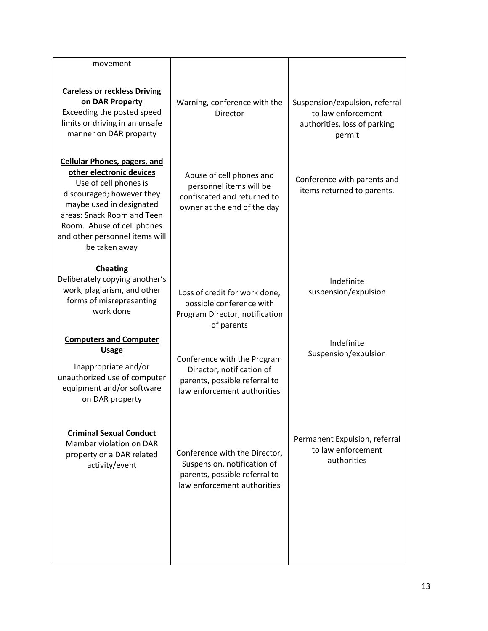| Warning, conference with the<br>Director                                                                                     | Suspension/expulsion, referral<br>to law enforcement<br>authorities, loss of parking<br>permit |
|------------------------------------------------------------------------------------------------------------------------------|------------------------------------------------------------------------------------------------|
| Abuse of cell phones and<br>personnel items will be<br>confiscated and returned to<br>owner at the end of the day            | Conference with parents and<br>items returned to parents.                                      |
| Loss of credit for work done,<br>possible conference with<br>Program Director, notification<br>of parents                    | Indefinite<br>suspension/expulsion                                                             |
| Conference with the Program<br>Director, notification of<br>parents, possible referral to<br>law enforcement authorities     | Indefinite<br>Suspension/expulsion                                                             |
| Conference with the Director,<br>Suspension, notification of<br>parents, possible referral to<br>law enforcement authorities | Permanent Expulsion, referral<br>to law enforcement<br>authorities                             |
| Deliberately copying another's                                                                                               |                                                                                                |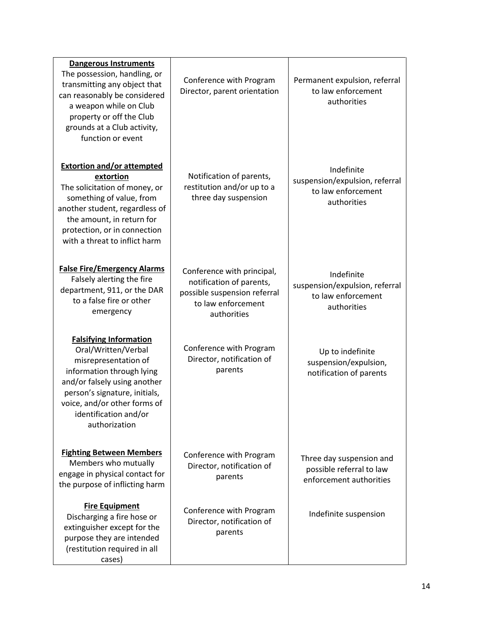| <b>Dangerous Instruments</b><br>The possession, handling, or<br>transmitting any object that<br>can reasonably be considered<br>a weapon while on Club<br>property or off the Club<br>grounds at a Club activity,<br>function or event               | Conference with Program<br>Director, parent orientation                                                                     | Permanent expulsion, referral<br>to law enforcement<br>authorities                |
|------------------------------------------------------------------------------------------------------------------------------------------------------------------------------------------------------------------------------------------------------|-----------------------------------------------------------------------------------------------------------------------------|-----------------------------------------------------------------------------------|
| <b>Extortion and/or attempted</b><br>extortion<br>The solicitation of money, or<br>something of value, from<br>another student, regardless of<br>the amount, in return for<br>protection, or in connection<br>with a threat to inflict harm          | Notification of parents,<br>restitution and/or up to a<br>three day suspension                                              | Indefinite<br>suspension/expulsion, referral<br>to law enforcement<br>authorities |
| <b>False Fire/Emergency Alarms</b><br>Falsely alerting the fire<br>department, 911, or the DAR<br>to a false fire or other<br>emergency                                                                                                              | Conference with principal,<br>notification of parents,<br>possible suspension referral<br>to law enforcement<br>authorities | Indefinite<br>suspension/expulsion, referral<br>to law enforcement<br>authorities |
| <b>Falsifying Information</b><br>Oral/Written/Verbal<br>misrepresentation of<br>information through lying<br>and/or falsely using another<br>person's signature, initials,<br>voice, and/or other forms of<br>identification and/or<br>authorization | Conference with Program<br>Director, notification of<br>parents                                                             | Up to indefinite<br>suspension/expulsion,<br>notification of parents              |
| <b>Fighting Between Members</b><br>Members who mutually<br>engage in physical contact for<br>the purpose of inflicting harm                                                                                                                          | Conference with Program<br>Director, notification of<br>parents                                                             | Three day suspension and<br>possible referral to law<br>enforcement authorities   |
| <b>Fire Equipment</b><br>Discharging a fire hose or<br>extinguisher except for the<br>purpose they are intended<br>(restitution required in all<br>cases)                                                                                            | Conference with Program<br>Director, notification of<br>parents                                                             | Indefinite suspension                                                             |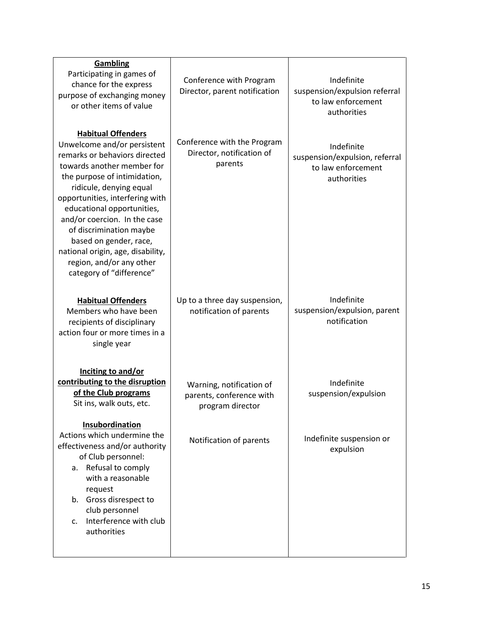| <b>Gambling</b><br>Participating in games of<br>chance for the express<br>purpose of exchanging money<br>or other items of value                                                                                                                                                                                                                                                                                                      | Conference with Program<br>Director, parent notification                 | Indefinite<br>suspension/expulsion referral<br>to law enforcement<br>authorities  |
|---------------------------------------------------------------------------------------------------------------------------------------------------------------------------------------------------------------------------------------------------------------------------------------------------------------------------------------------------------------------------------------------------------------------------------------|--------------------------------------------------------------------------|-----------------------------------------------------------------------------------|
| <b>Habitual Offenders</b><br>Unwelcome and/or persistent<br>remarks or behaviors directed<br>towards another member for<br>the purpose of intimidation,<br>ridicule, denying equal<br>opportunities, interfering with<br>educational opportunities,<br>and/or coercion. In the case<br>of discrimination maybe<br>based on gender, race,<br>national origin, age, disability,<br>region, and/or any other<br>category of "difference" | Conference with the Program<br>Director, notification of<br>parents      | Indefinite<br>suspension/expulsion, referral<br>to law enforcement<br>authorities |
| <b>Habitual Offenders</b><br>Members who have been<br>recipients of disciplinary<br>action four or more times in a<br>single year                                                                                                                                                                                                                                                                                                     | Up to a three day suspension,<br>notification of parents                 | Indefinite<br>suspension/expulsion, parent<br>notification                        |
| Inciting to and/or<br>contributing to the disruption<br>of the Club programs<br>Sit ins, walk outs, etc.                                                                                                                                                                                                                                                                                                                              | Warning, notification of<br>parents, conference with<br>program director | Indefinite<br>suspension/expulsion                                                |
| Insubordination<br>Actions which undermine the<br>effectiveness and/or authority<br>of Club personnel:<br>a. Refusal to comply<br>with a reasonable<br>request<br>b. Gross disrespect to<br>club personnel<br>Interference with club<br>$\mathsf{C}$ .<br>authorities                                                                                                                                                                 | Notification of parents                                                  | Indefinite suspension or<br>expulsion                                             |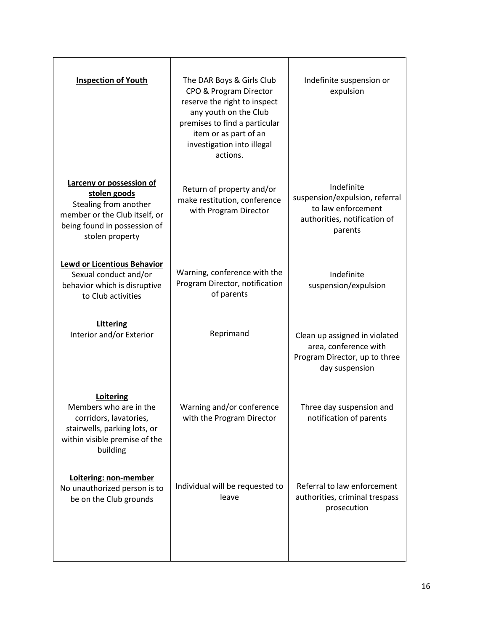| <b>Inspection of Youth</b>                                                                                                                            | The DAR Boys & Girls Club<br>CPO & Program Director<br>reserve the right to inspect<br>any youth on the Club<br>premises to find a particular<br>item or as part of an<br>investigation into illegal<br>actions. | Indefinite suspension or<br>expulsion                                                                         |
|-------------------------------------------------------------------------------------------------------------------------------------------------------|------------------------------------------------------------------------------------------------------------------------------------------------------------------------------------------------------------------|---------------------------------------------------------------------------------------------------------------|
| Larceny or possession of<br>stolen goods<br>Stealing from another<br>member or the Club itself, or<br>being found in possession of<br>stolen property | Return of property and/or<br>make restitution, conference<br>with Program Director                                                                                                                               | Indefinite<br>suspension/expulsion, referral<br>to law enforcement<br>authorities, notification of<br>parents |
| <b>Lewd or Licentious Behavior</b><br>Sexual conduct and/or<br>behavior which is disruptive<br>to Club activities                                     | Warning, conference with the<br>Program Director, notification<br>of parents                                                                                                                                     | Indefinite<br>suspension/expulsion                                                                            |
| <b>Littering</b><br>Interior and/or Exterior                                                                                                          | Reprimand                                                                                                                                                                                                        | Clean up assigned in violated<br>area, conference with<br>Program Director, up to three<br>day suspension     |
| Loitering<br>Members who are in the<br>corridors, lavatories,<br>stairwells, parking lots, or<br>within visible premise of the<br>building            | Warning and/or conference<br>with the Program Director                                                                                                                                                           | Three day suspension and<br>notification of parents                                                           |
| Loitering: non-member<br>No unauthorized person is to<br>be on the Club grounds                                                                       | Individual will be requested to<br>leave                                                                                                                                                                         | Referral to law enforcement<br>authorities, criminal trespass<br>prosecution                                  |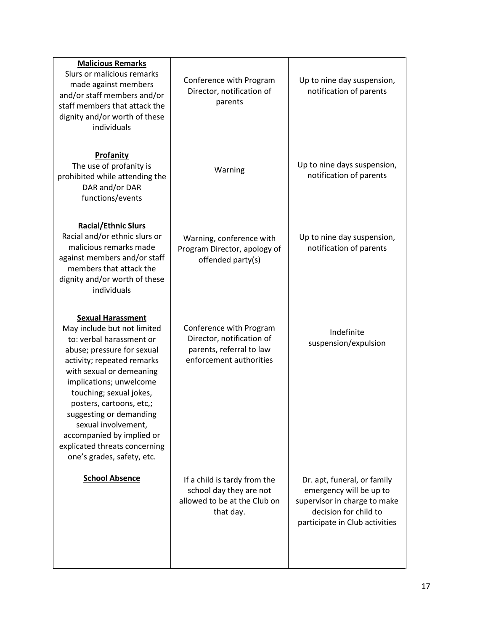| <b>Malicious Remarks</b><br>Slurs or malicious remarks<br>made against members<br>and/or staff members and/or<br>staff members that attack the<br>dignity and/or worth of these<br>individuals                                                                                                                                                                                                              | Conference with Program<br>Director, notification of<br>parents                                             | Up to nine day suspension,<br>notification of parents                                                                                             |
|-------------------------------------------------------------------------------------------------------------------------------------------------------------------------------------------------------------------------------------------------------------------------------------------------------------------------------------------------------------------------------------------------------------|-------------------------------------------------------------------------------------------------------------|---------------------------------------------------------------------------------------------------------------------------------------------------|
| Profanity<br>The use of profanity is<br>prohibited while attending the<br>DAR and/or DAR<br>functions/events                                                                                                                                                                                                                                                                                                | Warning                                                                                                     | Up to nine days suspension,<br>notification of parents                                                                                            |
| <b>Racial/Ethnic Slurs</b><br>Racial and/or ethnic slurs or<br>malicious remarks made<br>against members and/or staff<br>members that attack the<br>dignity and/or worth of these<br>individuals                                                                                                                                                                                                            | Warning, conference with<br>Program Director, apology of<br>offended party(s)                               | Up to nine day suspension,<br>notification of parents                                                                                             |
| <b>Sexual Harassment</b><br>May include but not limited<br>to: verbal harassment or<br>abuse; pressure for sexual<br>activity; repeated remarks<br>with sexual or demeaning<br>implications; unwelcome<br>touching; sexual jokes,<br>posters, cartoons, etc,;<br>suggesting or demanding<br>sexual involvement,<br>accompanied by implied or<br>explicated threats concerning<br>one's grades, safety, etc. | Conference with Program<br>Director, notification of<br>parents, referral to law<br>enforcement authorities | Indefinite<br>suspension/expulsion                                                                                                                |
| <b>School Absence</b>                                                                                                                                                                                                                                                                                                                                                                                       | If a child is tardy from the<br>school day they are not<br>allowed to be at the Club on<br>that day.        | Dr. apt, funeral, or family<br>emergency will be up to<br>supervisor in charge to make<br>decision for child to<br>participate in Club activities |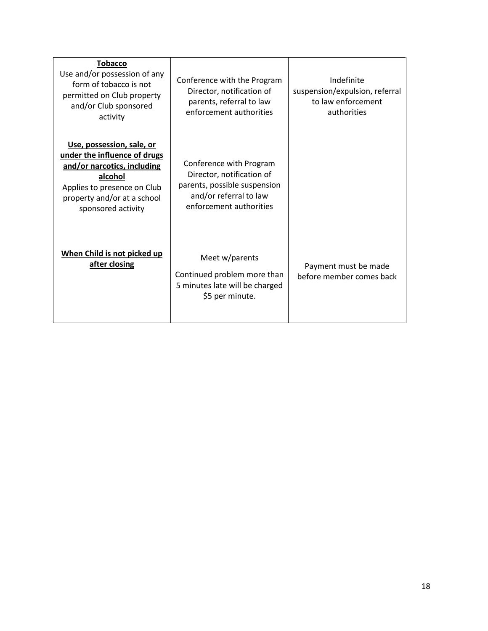| <b>Tobacco</b><br>Use and/or possession of any<br>form of tobacco is not<br>permitted on Club property<br>and/or Club sponsored<br>activity                                             | Conference with the Program<br>Director, notification of<br>parents, referral to law<br>enforcement authorities                           | Indefinite<br>suspension/expulsion, referral<br>to law enforcement<br>authorities |
|-----------------------------------------------------------------------------------------------------------------------------------------------------------------------------------------|-------------------------------------------------------------------------------------------------------------------------------------------|-----------------------------------------------------------------------------------|
| Use, possession, sale, or<br>under the influence of drugs<br>and/or narcotics, including<br>alcohol<br>Applies to presence on Club<br>property and/or at a school<br>sponsored activity | Conference with Program<br>Director, notification of<br>parents, possible suspension<br>and/or referral to law<br>enforcement authorities |                                                                                   |
| When Child is not picked up<br>after closing                                                                                                                                            | Meet w/parents<br>Continued problem more than<br>5 minutes late will be charged<br>\$5 per minute.                                        | Payment must be made<br>before member comes back                                  |